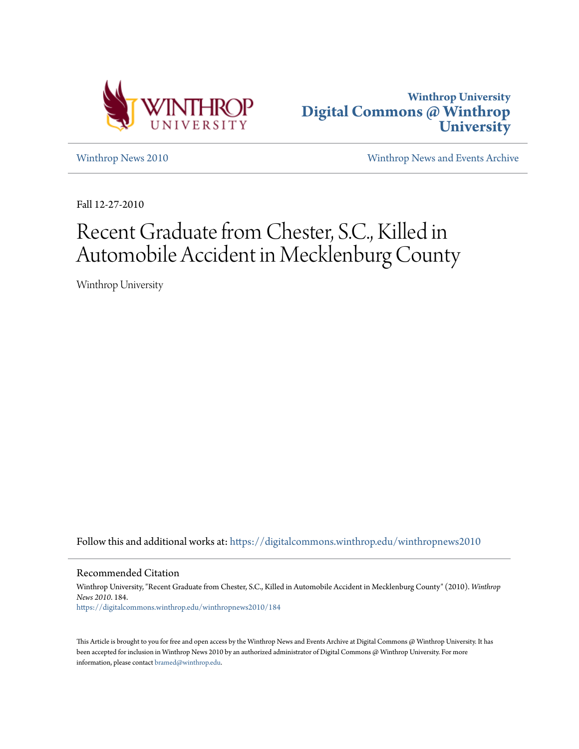



[Winthrop News 2010](https://digitalcommons.winthrop.edu/winthropnews2010?utm_source=digitalcommons.winthrop.edu%2Fwinthropnews2010%2F184&utm_medium=PDF&utm_campaign=PDFCoverPages) [Winthrop News and Events Archive](https://digitalcommons.winthrop.edu/winthropnewsarchives?utm_source=digitalcommons.winthrop.edu%2Fwinthropnews2010%2F184&utm_medium=PDF&utm_campaign=PDFCoverPages)

Fall 12-27-2010

## Recent Graduate from Chester, S.C., Killed in Automobile Accident in Mecklenburg County

Winthrop University

Follow this and additional works at: [https://digitalcommons.winthrop.edu/winthropnews2010](https://digitalcommons.winthrop.edu/winthropnews2010?utm_source=digitalcommons.winthrop.edu%2Fwinthropnews2010%2F184&utm_medium=PDF&utm_campaign=PDFCoverPages)

Recommended Citation

Winthrop University, "Recent Graduate from Chester, S.C., Killed in Automobile Accident in Mecklenburg County" (2010). *Winthrop News 2010*. 184. [https://digitalcommons.winthrop.edu/winthropnews2010/184](https://digitalcommons.winthrop.edu/winthropnews2010/184?utm_source=digitalcommons.winthrop.edu%2Fwinthropnews2010%2F184&utm_medium=PDF&utm_campaign=PDFCoverPages)

This Article is brought to you for free and open access by the Winthrop News and Events Archive at Digital Commons @ Winthrop University. It has been accepted for inclusion in Winthrop News 2010 by an authorized administrator of Digital Commons @ Winthrop University. For more information, please contact [bramed@winthrop.edu](mailto:bramed@winthrop.edu).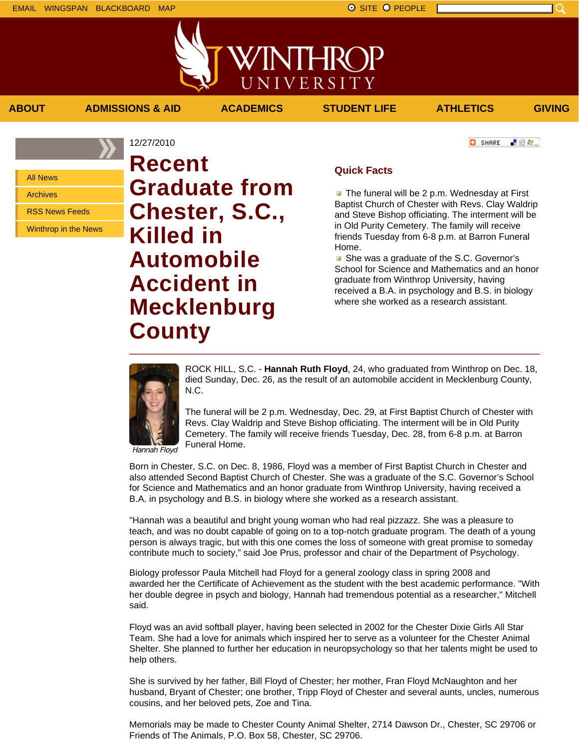All News

Archives

RSS News Feeds

Winthrop in the News

12/27/2010 **Recent Graduate from Chester, S.C., Killed in Automobile Accident in Mecklenburg County**

Funeral Home.

**C** SHARE ■ 验考...

## **Quick Facts**

**ABOUT ADMISSIONS & AID ACADEMICS STUDENT LIFE ATHLETICS GIVING**

WINTHROP

UNIVERSITY

 $\blacksquare$  The funeral will be 2 p.m. Wednesday at First Baptist Church of Chester with Revs. Clay Waldrip and Steve Bishop officiating. The interment will be in Old Purity Cemetery. The family will receive friends Tuesday from 6-8 p.m. at Barron Funeral Home.

**B** She was a graduate of the S.C. Governor's School for Science and Mathematics and an honor graduate from Winthrop University, having received a B.A. in psychology and B.S. in biology where she worked as a research assistant.



N.C. The funeral will be 2 p.m. Wednesday, Dec. 29, at First Baptist Church of Chester with Revs. Clay Waldrip and Steve Bishop officiating. The interment will be in Old Purity Cemetery. The family will receive friends Tuesday, Dec. 28, from 6-8 p.m. at Barron

ROCK HILL, S.C. - **Hannah Ruth Floyd**, 24, who graduated from Winthrop on Dec. 18, died Sunday, Dec. 26, as the result of an automobile accident in Mecklenburg County,

Hannah Floyd

Born in Chester, S.C. on Dec. 8, 1986, Floyd was a member of First Baptist Church in Chester and also attended Second Baptist Church of Chester. She was a graduate of the S.C. Governor's School for Science and Mathematics and an honor graduate from Winthrop University, having received a B.A. in psychology and B.S. in biology where she worked as a research assistant.

"Hannah was a beautiful and bright young woman who had real pizzazz. She was a pleasure to teach, and was no doubt capable of going on to a top-notch graduate program. The death of a young person is always tragic, but with this one comes the loss of someone with great promise to someday contribute much to society," said Joe Prus, professor and chair of the Department of Psychology.

Biology professor Paula Mitchell had Floyd for a general zoology class in spring 2008 and awarded her the Certificate of Achievement as the student with the best academic performance. "With her double degree in psych and biology, Hannah had tremendous potential as a researcher," Mitchell said.

Floyd was an avid softball player, having been selected in 2002 for the Chester Dixie Girls All Star Team. She had a love for animals which inspired her to serve as a volunteer for the Chester Animal Shelter. She planned to further her education in neuropsychology so that her talents might be used to help others.

She is survived by her father, Bill Floyd of Chester; her mother, Fran Floyd McNaughton and her husband, Bryant of Chester; one brother, Tripp Floyd of Chester and several aunts, uncles, numerous cousins, and her beloved pets, Zoe and Tina.

Memorials may be made to Chester County Animal Shelter, 2714 Dawson Dr., Chester, SC 29706 or Friends of The Animals, P.O. Box 58, Chester, SC 29706.